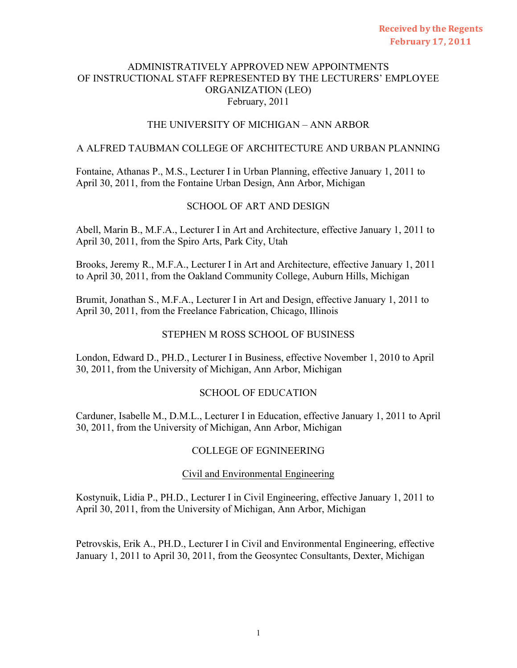# THE UNIVERSITY OF MICHIGAN – ANN ARBOR

# A ALFRED TAUBMAN COLLEGE OF ARCHITECTURE AND URBAN PLANNING

Fontaine, Athanas P., M.S., Lecturer I in Urban Planning, effective January 1, 2011 to April 30, 2011, from the Fontaine Urban Design, Ann Arbor, Michigan

# SCHOOL OF ART AND DESIGN

Abell, Marin B., M.F.A., Lecturer I in Art and Architecture, effective January 1, 2011 to April 30, 2011, from the Spiro Arts, Park City, Utah

Brooks, Jeremy R., M.F.A., Lecturer I in Art and Architecture, effective January 1, 2011 to April 30, 2011, from the Oakland Community College, Auburn Hills, Michigan

Brumit, Jonathan S., M.F.A., Lecturer I in Art and Design, effective January 1, 2011 to April 30, 2011, from the Freelance Fabrication, Chicago, Illinois

# STEPHEN M ROSS SCHOOL OF BUSINESS

London, Edward D., PH.D., Lecturer I in Business, effective November 1, 2010 to April 30, 2011, from the University of Michigan, Ann Arbor, Michigan

# SCHOOL OF EDUCATION

Carduner, Isabelle M., D.M.L., Lecturer I in Education, effective January 1, 2011 to April 30, 2011, from the University of Michigan, Ann Arbor, Michigan

# COLLEGE OF EGNINEERING

# Civil and Environmental Engineering

Kostynuik, Lidia P., PH.D., Lecturer I in Civil Engineering, effective January 1, 2011 to April 30, 2011, from the University of Michigan, Ann Arbor, Michigan

Petrovskis, Erik A., PH.D., Lecturer I in Civil and Environmental Engineering, effective January 1, 2011 to April 30, 2011, from the Geosyntec Consultants, Dexter, Michigan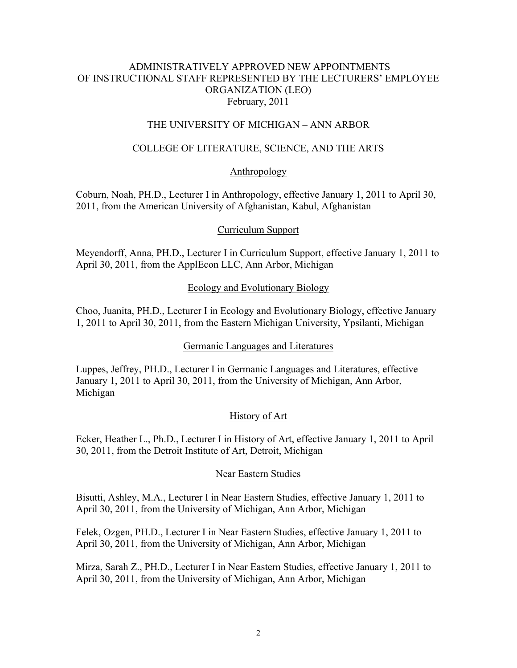# THE UNIVERSITY OF MICHIGAN – ANN ARBOR

# COLLEGE OF LITERATURE, SCIENCE, AND THE ARTS

# Anthropology

Coburn, Noah, PH.D., Lecturer I in Anthropology, effective January 1, 2011 to April 30, 2011, from the American University of Afghanistan, Kabul, Afghanistan

# Curriculum Support

Meyendorff, Anna, PH.D., Lecturer I in Curriculum Support, effective January 1, 2011 to April 30, 2011, from the ApplEcon LLC, Ann Arbor, Michigan

# Ecology and Evolutionary Biology

Choo, Juanita, PH.D., Lecturer I in Ecology and Evolutionary Biology, effective January 1, 2011 to April 30, 2011, from the Eastern Michigan University, Ypsilanti, Michigan

# Germanic Languages and Literatures

Luppes, Jeffrey, PH.D., Lecturer I in Germanic Languages and Literatures, effective January 1, 2011 to April 30, 2011, from the University of Michigan, Ann Arbor, Michigan

# History of Art

Ecker, Heather L., Ph.D., Lecturer I in History of Art, effective January 1, 2011 to April 30, 2011, from the Detroit Institute of Art, Detroit, Michigan

# Near Eastern Studies

Bisutti, Ashley, M.A., Lecturer I in Near Eastern Studies, effective January 1, 2011 to April 30, 2011, from the University of Michigan, Ann Arbor, Michigan

Felek, Ozgen, PH.D., Lecturer I in Near Eastern Studies, effective January 1, 2011 to April 30, 2011, from the University of Michigan, Ann Arbor, Michigan

Mirza, Sarah Z., PH.D., Lecturer I in Near Eastern Studies, effective January 1, 2011 to April 30, 2011, from the University of Michigan, Ann Arbor, Michigan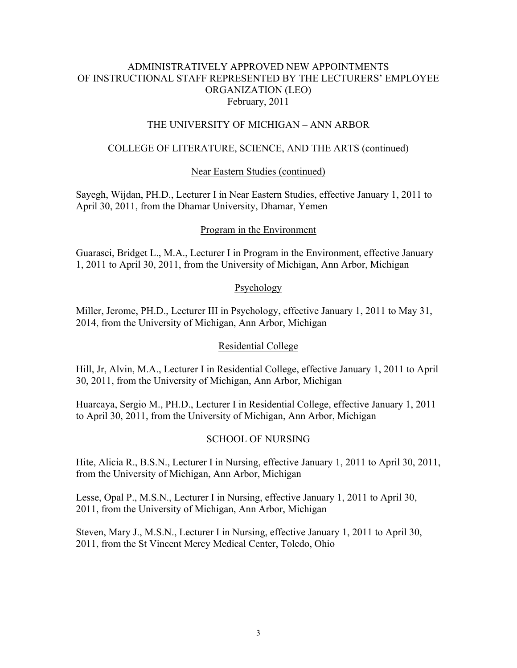# THE UNIVERSITY OF MICHIGAN – ANN ARBOR

# COLLEGE OF LITERATURE, SCIENCE, AND THE ARTS (continued)

# Near Eastern Studies (continued)

Sayegh, Wijdan, PH.D., Lecturer I in Near Eastern Studies, effective January 1, 2011 to April 30, 2011, from the Dhamar University, Dhamar, Yemen

# Program in the Environment

Guarasci, Bridget L., M.A., Lecturer I in Program in the Environment, effective January 1, 2011 to April 30, 2011, from the University of Michigan, Ann Arbor, Michigan

# Psychology

Miller, Jerome, PH.D., Lecturer III in Psychology, effective January 1, 2011 to May 31, 2014, from the University of Michigan, Ann Arbor, Michigan

# Residential College

Hill, Jr, Alvin, M.A., Lecturer I in Residential College, effective January 1, 2011 to April 30, 2011, from the University of Michigan, Ann Arbor, Michigan

Huarcaya, Sergio M., PH.D., Lecturer I in Residential College, effective January 1, 2011 to April 30, 2011, from the University of Michigan, Ann Arbor, Michigan

# SCHOOL OF NURSING

Hite, Alicia R., B.S.N., Lecturer I in Nursing, effective January 1, 2011 to April 30, 2011, from the University of Michigan, Ann Arbor, Michigan

Lesse, Opal P., M.S.N., Lecturer I in Nursing, effective January 1, 2011 to April 30, 2011, from the University of Michigan, Ann Arbor, Michigan

Steven, Mary J., M.S.N., Lecturer I in Nursing, effective January 1, 2011 to April 30, 2011, from the St Vincent Mercy Medical Center, Toledo, Ohio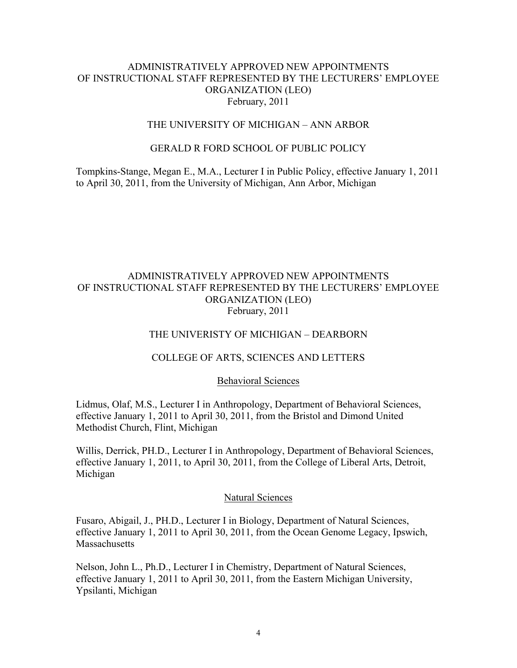### THE UNIVERSITY OF MICHIGAN – ANN ARBOR

### GERALD R FORD SCHOOL OF PUBLIC POLICY

Tompkins-Stange, Megan E., M.A., Lecturer I in Public Policy, effective January 1, 2011 to April 30, 2011, from the University of Michigan, Ann Arbor, Michigan

# ADMINISTRATIVELY APPROVED NEW APPOINTMENTS OF INSTRUCTIONAL STAFF REPRESENTED BY THE LECTURERS' EMPLOYEE ORGANIZATION (LEO) February, 2011

### THE UNIVERISTY OF MICHIGAN – DEARBORN

### COLLEGE OF ARTS, SCIENCES AND LETTERS

#### Behavioral Sciences

Lidmus, Olaf, M.S., Lecturer I in Anthropology, Department of Behavioral Sciences, effective January 1, 2011 to April 30, 2011, from the Bristol and Dimond United Methodist Church, Flint, Michigan

Willis, Derrick, PH.D., Lecturer I in Anthropology, Department of Behavioral Sciences, effective January 1, 2011, to April 30, 2011, from the College of Liberal Arts, Detroit, Michigan

### Natural Sciences

Fusaro, Abigail, J., PH.D., Lecturer I in Biology, Department of Natural Sciences, effective January 1, 2011 to April 30, 2011, from the Ocean Genome Legacy, Ipswich, **Massachusetts** 

Nelson, John L., Ph.D., Lecturer I in Chemistry, Department of Natural Sciences, effective January 1, 2011 to April 30, 2011, from the Eastern Michigan University, Ypsilanti, Michigan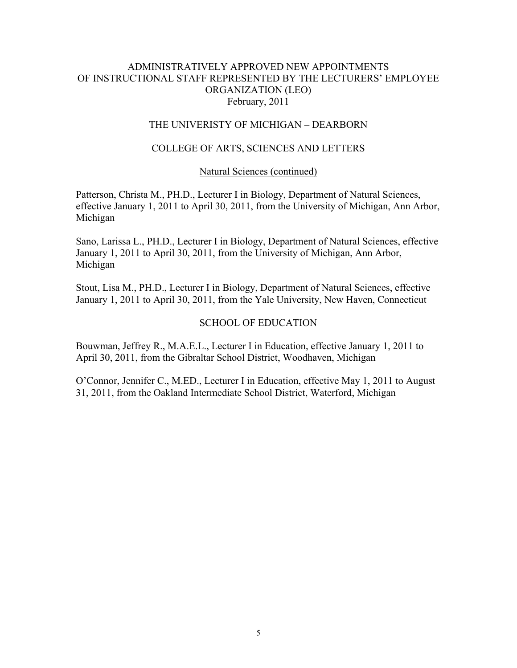### THE UNIVERISTY OF MICHIGAN – DEARBORN

### COLLEGE OF ARTS, SCIENCES AND LETTERS

#### Natural Sciences (continued)

Patterson, Christa M., PH.D., Lecturer I in Biology, Department of Natural Sciences, effective January 1, 2011 to April 30, 2011, from the University of Michigan, Ann Arbor, Michigan

Sano, Larissa L., PH.D., Lecturer I in Biology, Department of Natural Sciences, effective January 1, 2011 to April 30, 2011, from the University of Michigan, Ann Arbor, Michigan

Stout, Lisa M., PH.D., Lecturer I in Biology, Department of Natural Sciences, effective January 1, 2011 to April 30, 2011, from the Yale University, New Haven, Connecticut

#### SCHOOL OF EDUCATION

Bouwman, Jeffrey R., M.A.E.L., Lecturer I in Education, effective January 1, 2011 to April 30, 2011, from the Gibraltar School District, Woodhaven, Michigan

O'Connor, Jennifer C., M.ED., Lecturer I in Education, effective May 1, 2011 to August 31, 2011, from the Oakland Intermediate School District, Waterford, Michigan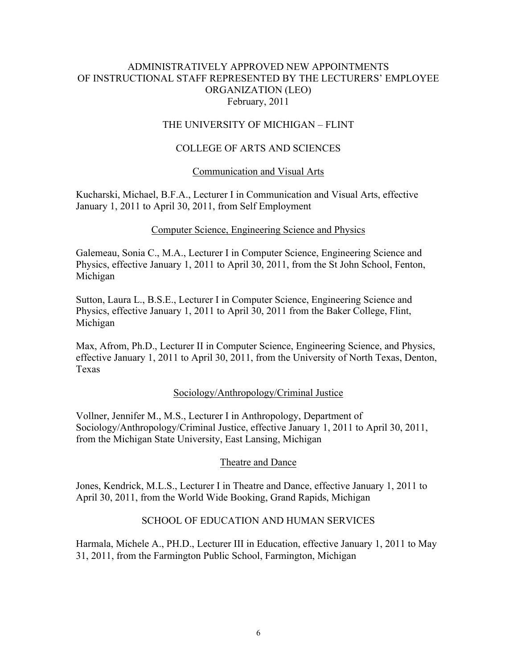# THE UNIVERSITY OF MICHIGAN – FLINT

# COLLEGE OF ARTS AND SCIENCES

# Communication and Visual Arts

Kucharski, Michael, B.F.A., Lecturer I in Communication and Visual Arts, effective January 1, 2011 to April 30, 2011, from Self Employment

# Computer Science, Engineering Science and Physics

Galemeau, Sonia C., M.A., Lecturer I in Computer Science, Engineering Science and Physics, effective January 1, 2011 to April 30, 2011, from the St John School, Fenton, Michigan

Sutton, Laura L., B.S.E., Lecturer I in Computer Science, Engineering Science and Physics, effective January 1, 2011 to April 30, 2011 from the Baker College, Flint, Michigan

Max, Afrom, Ph.D., Lecturer II in Computer Science, Engineering Science, and Physics, effective January 1, 2011 to April 30, 2011, from the University of North Texas, Denton, Texas

# Sociology/Anthropology/Criminal Justice

Vollner, Jennifer M., M.S., Lecturer I in Anthropology, Department of Sociology/Anthropology/Criminal Justice, effective January 1, 2011 to April 30, 2011, from the Michigan State University, East Lansing, Michigan

# Theatre and Dance

Jones, Kendrick, M.L.S., Lecturer I in Theatre and Dance, effective January 1, 2011 to April 30, 2011, from the World Wide Booking, Grand Rapids, Michigan

# SCHOOL OF EDUCATION AND HUMAN SERVICES

Harmala, Michele A., PH.D., Lecturer III in Education, effective January 1, 2011 to May 31, 2011, from the Farmington Public School, Farmington, Michigan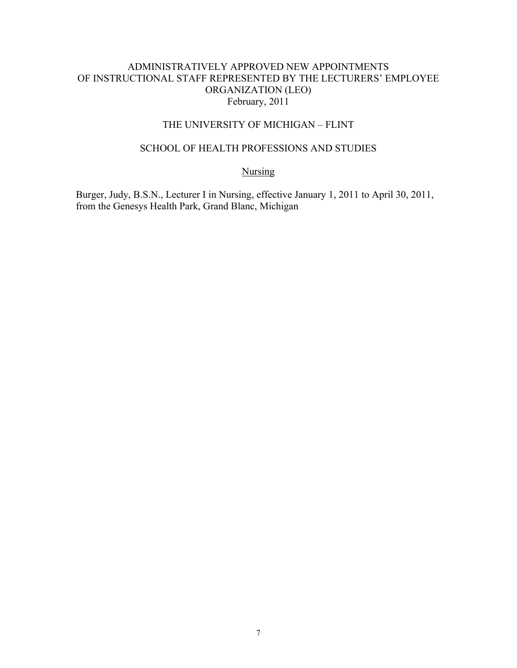### THE UNIVERSITY OF MICHIGAN – FLINT

# SCHOOL OF HEALTH PROFESSIONS AND STUDIES

#### Nursing

Burger, Judy, B.S.N., Lecturer I in Nursing, effective January 1, 2011 to April 30, 2011, from the Genesys Health Park, Grand Blanc, Michigan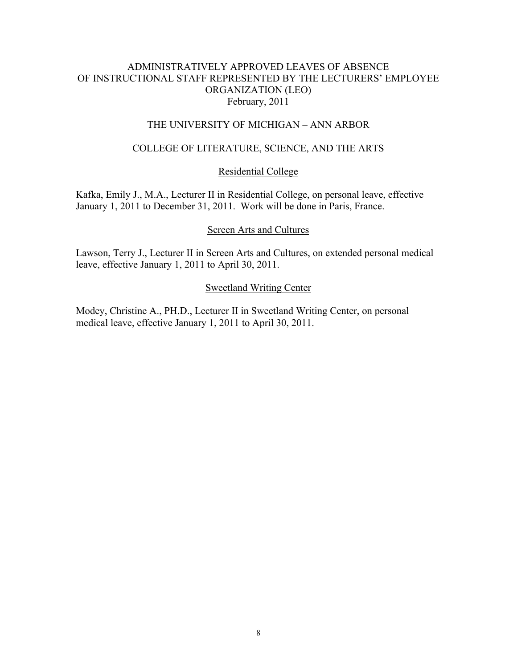# THE UNIVERSITY OF MICHIGAN – ANN ARBOR

# COLLEGE OF LITERATURE, SCIENCE, AND THE ARTS

### Residential College

Kafka, Emily J., M.A., Lecturer II in Residential College, on personal leave, effective January 1, 2011 to December 31, 2011. Work will be done in Paris, France.

### Screen Arts and Cultures

Lawson, Terry J., Lecturer II in Screen Arts and Cultures, on extended personal medical leave, effective January 1, 2011 to April 30, 2011.

### Sweetland Writing Center

Modey, Christine A., PH.D., Lecturer II in Sweetland Writing Center, on personal medical leave, effective January 1, 2011 to April 30, 2011.